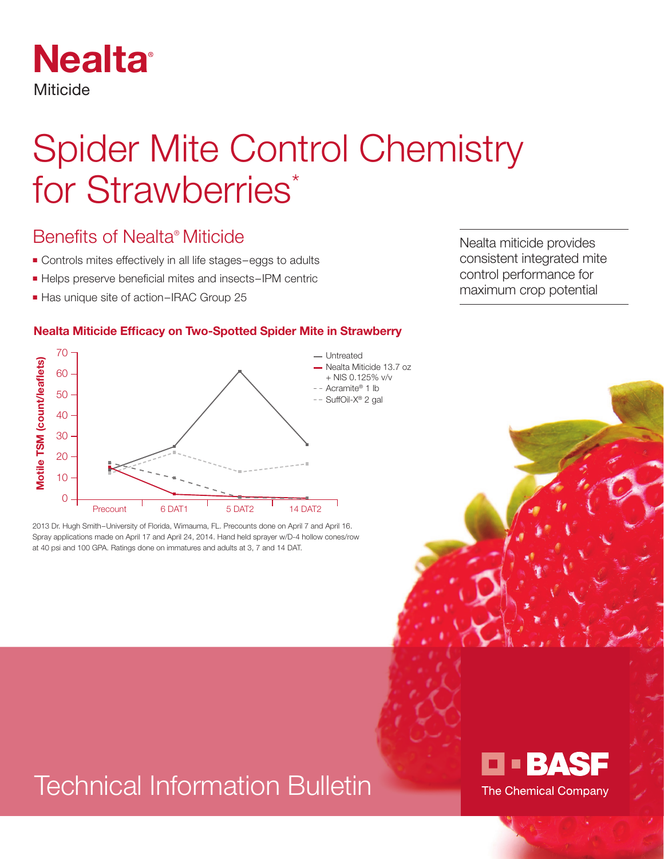

# Spider Mite Control Chemistry for Strawberries\*

### Benefits of Nealta® Miticide

- Controls mites effectively in all life stages–eggs to adults
- Helps preserve beneficial mites and insects–IPM centric
- Has unique site of action–IRAC Group 25

#### **Nealta Miticide Efficacy on Two-Spotted Spider Mite in Strawberry**



2013 Dr. Hugh Smith–University of Florida, Wimauma, FL. Precounts done on April 7 and April 16. Spray applications made on April 17 and April 24, 2014. Hand held sprayer w/D-4 hollow cones/row

# Technical Information Bulletin



Nealta miticide provides consistent integrated mite control performance for maximum crop potential